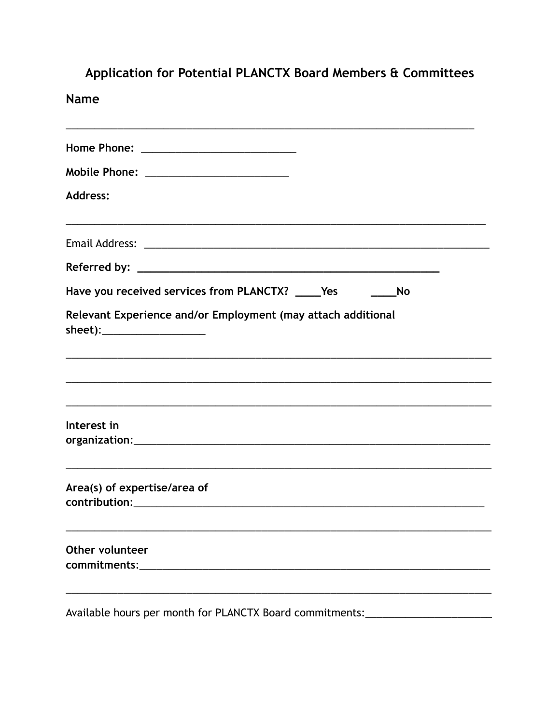| Application for Potential PLANCTX Board Members & Committees<br><b>Name</b>                                                                                       |
|-------------------------------------------------------------------------------------------------------------------------------------------------------------------|
| <u> 1989 - Johann Barn, mars ann an t-Amhainn an t-Amhainn an t-Amhainn an t-Amhainn an t-Amhainn an t-Amhainn an </u><br>Home Phone: ___________________________ |
| Mobile Phone: ________________________                                                                                                                            |
| <b>Address:</b>                                                                                                                                                   |
|                                                                                                                                                                   |
|                                                                                                                                                                   |
| Have you received services from PLANCTX? _____Yes __________No                                                                                                    |
| Relevant Experience and/or Employment (may attach additional<br>sheet):_____________________                                                                      |
|                                                                                                                                                                   |
| Interest in                                                                                                                                                       |
| Area(s) of expertise/area of                                                                                                                                      |
| Other volunteer                                                                                                                                                   |
|                                                                                                                                                                   |

Available hours per month for PLANCTX Board commitments:\_\_\_\_\_\_\_\_\_\_\_\_\_\_\_\_\_\_\_\_\_\_\_\_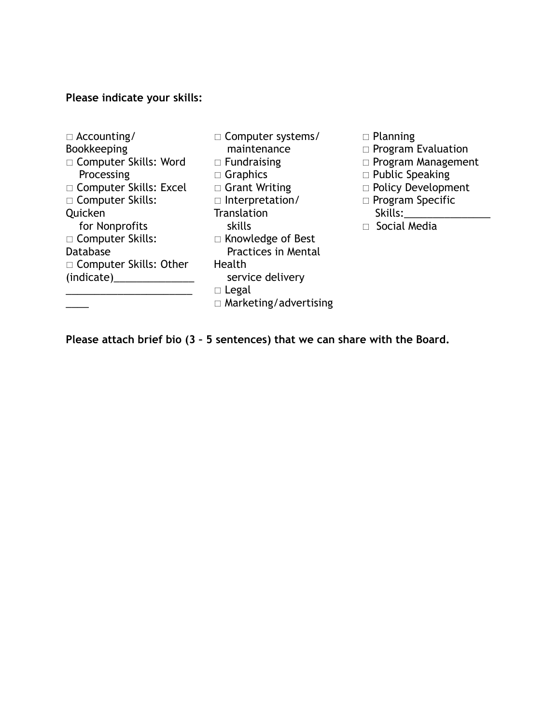## **Please indicate your skills:**

- □ Accounting/ Bookkeeping □ Computer Skills: Word Processing □ Computer Skills: Excel □ Computer Skills: Quicken for Nonprofits □ Computer Skills: Database □ Computer Skills: Other (indicate)\_\_\_\_\_\_\_\_\_\_\_\_\_\_ \_\_\_\_\_\_\_\_\_\_\_\_\_\_\_\_\_\_\_\_\_\_  $\overline{\phantom{a}}$
- □ Computer systems/ maintenance  $\Box$  Fundraising □ Graphics □ Grant Writing  $\Box$  Interpretation/ **Translation**  skills □ Knowledge of Best Practices in Mental Health service delivery  $\Box$  Legal  $\Box$  Marketing/advertising
- $\Box$  Planning
- $\Box$  Program Evaluation
- $\Box$  Program Management
- $\Box$  Public Speaking
- □ Policy Development
- $\Box$  Program Specific Skills:
- □ Social Media

**Please attach brief bio (3 – 5 sentences) that we can share with the Board.**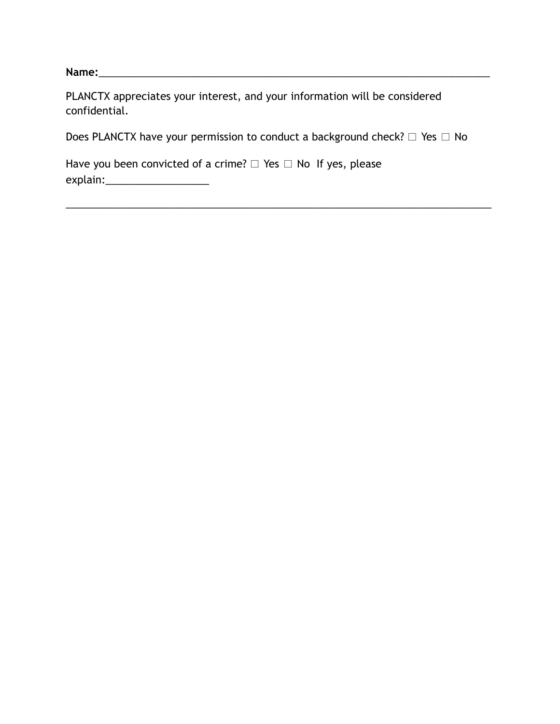**Name:**\_\_\_\_\_\_\_\_\_\_\_\_\_\_\_\_\_\_\_\_\_\_\_\_\_\_\_\_\_\_\_\_\_\_\_\_\_\_\_\_\_\_\_\_\_\_\_\_\_\_\_\_\_\_\_\_\_\_\_\_\_\_\_\_\_\_\_\_

| PLANCTX appreciates your interest, and your information will be considered |  |  |
|----------------------------------------------------------------------------|--|--|
| confidential.                                                              |  |  |

Does PLANCTX have your permission to conduct a background check?  $\Box$  Yes  $\Box$  No

\_\_\_\_\_\_\_\_\_\_\_\_\_\_\_\_\_\_\_\_\_\_\_\_\_\_\_\_\_\_\_\_\_\_\_\_\_\_\_\_\_\_\_\_\_\_\_\_\_\_\_\_\_\_\_\_\_\_\_\_\_\_\_\_\_\_\_\_\_\_\_\_\_\_

Have you been convicted of a crime?  $\Box$  Yes  $\Box$  No If yes, please explain:\_\_\_\_\_\_\_\_\_\_\_\_\_\_\_\_\_\_